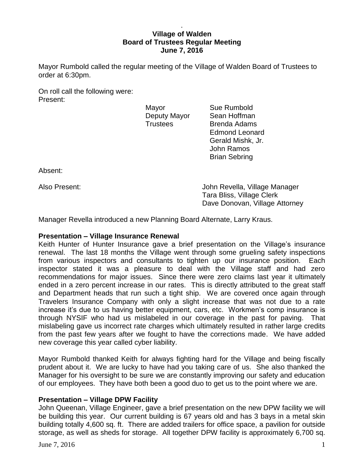## . **Village of Walden Board of Trustees Regular Meeting June 7, 2016**

Mayor Rumbold called the regular meeting of the Village of Walden Board of Trustees to order at 6:30pm.

On roll call the following were: Present:

Mayor **Sue Rumbold** 

Deputy Mayor Sean Hoffman Trustees Brenda Adams Edmond Leonard Gerald Mishk, Jr. John Ramos Brian Sebring

Absent:

Also Present: John Revella, Village Manager Tara Bliss, Village Clerk Dave Donovan, Village Attorney

Manager Revella introduced a new Planning Board Alternate, Larry Kraus.

# **Presentation – Village Insurance Renewal**

Keith Hunter of Hunter Insurance gave a brief presentation on the Village's insurance renewal. The last 18 months the Village went through some grueling safety inspections from various inspectors and consultants to tighten up our insurance position. Each inspector stated it was a pleasure to deal with the Village staff and had zero recommendations for major issues. Since there were zero claims last year it ultimately ended in a zero percent increase in our rates. This is directly attributed to the great staff and Department heads that run such a tight ship. We are covered once again through Travelers Insurance Company with only a slight increase that was not due to a rate increase it's due to us having better equipment, cars, etc. Workmen's comp insurance is through NYSIF who had us mislabeled in our coverage in the past for paving. That mislabeling gave us incorrect rate charges which ultimately resulted in rather large credits from the past few years after we fought to have the corrections made. We have added new coverage this year called cyber liability.

Mayor Rumbold thanked Keith for always fighting hard for the Village and being fiscally prudent about it. We are lucky to have had you taking care of us. She also thanked the Manager for his oversight to be sure we are constantly improving our safety and education of our employees. They have both been a good duo to get us to the point where we are.

# **Presentation – Village DPW Facility**

John Queenan, Village Engineer, gave a brief presentation on the new DPW facility we will be building this year. Our current building is 67 years old and has 3 bays in a metal skin building totally 4,600 sq. ft. There are added trailers for office space, a pavilion for outside storage, as well as sheds for storage. All together DPW facility is approximately 6,700 sq.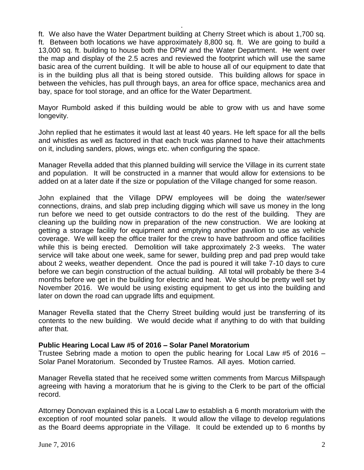ft. We also have the Water Department building at Cherry Street which is about 1,700 sq. ft. Between both locations we have approximately 8,800 sq. ft. We are going to build a 13,000 sq. ft. building to house both the DPW and the Water Department. He went over the map and display of the 2.5 acres and reviewed the footprint which will use the same basic area of the current building. It will be able to house all of our equipment to date that is in the building plus all that is being stored outside. This building allows for space in between the vehicles, has pull through bays, an area for office space, mechanics area and bay, space for tool storage, and an office for the Water Department.

.

Mayor Rumbold asked if this building would be able to grow with us and have some longevity.

John replied that he estimates it would last at least 40 years. He left space for all the bells and whistles as well as factored in that each truck was planned to have their attachments on it, including sanders, plows, wings etc. when configuring the space.

Manager Revella added that this planned building will service the Village in its current state and population. It will be constructed in a manner that would allow for extensions to be added on at a later date if the size or population of the Village changed for some reason.

John explained that the Village DPW employees will be doing the water/sewer connections, drains, and slab prep including digging which will save us money in the long run before we need to get outside contractors to do the rest of the building. They are cleaning up the building now in preparation of the new construction. We are looking at getting a storage facility for equipment and emptying another pavilion to use as vehicle coverage. We will keep the office trailer for the crew to have bathroom and office facilities while this is being erected. Demolition will take approximately 2-3 weeks. The water service will take about one week, same for sewer, building prep and pad prep would take about 2 weeks, weather dependent. Once the pad is poured it will take 7-10 days to cure before we can begin construction of the actual building. All total will probably be there 3-4 months before we get in the building for electric and heat. We should be pretty well set by November 2016. We would be using existing equipment to get us into the building and later on down the road can upgrade lifts and equipment.

Manager Revella stated that the Cherry Street building would just be transferring of its contents to the new building. We would decide what if anything to do with that building after that.

# **Public Hearing Local Law #5 of 2016 – Solar Panel Moratorium**

Trustee Sebring made a motion to open the public hearing for Local Law #5 of 2016 – Solar Panel Moratorium. Seconded by Trustee Ramos. All ayes. Motion carried.

Manager Revella stated that he received some written comments from Marcus Millspaugh agreeing with having a moratorium that he is giving to the Clerk to be part of the official record.

Attorney Donovan explained this is a Local Law to establish a 6 month moratorium with the exception of roof mounted solar panels. It would allow the village to develop regulations as the Board deems appropriate in the Village. It could be extended up to 6 months by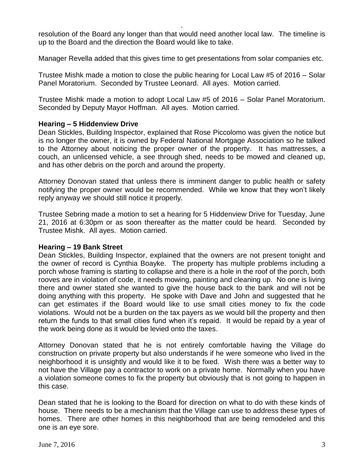resolution of the Board any longer than that would need another local law. The timeline is up to the Board and the direction the Board would like to take.

.

Manager Revella added that this gives time to get presentations from solar companies etc.

Trustee Mishk made a motion to close the public hearing for Local Law #5 of 2016 – Solar Panel Moratorium. Seconded by Trustee Leonard. All ayes. Motion carried.

Trustee Mishk made a motion to adopt Local Law #5 of 2016 – Solar Panel Moratorium. Seconded by Deputy Mayor Hoffman. All ayes. Motion carried.

## **Hearing – 5 Hiddenview Drive**

Dean Stickles, Building Inspector, explained that Rose Piccolomo was given the notice but is no longer the owner, it is owned by Federal National Mortgage Association so he talked to the Attorney about noticing the proper owner of the property. It has mattresses, a couch, an unlicensed vehicle, a see through shed, needs to be mowed and cleaned up, and has other debris on the porch and around the property.

Attorney Donovan stated that unless there is imminent danger to public health or safety notifying the proper owner would be recommended. While we know that they won't likely reply anyway we should still notice it properly.

Trustee Sebring made a motion to set a hearing for 5 Hiddenview Drive for Tuesday, June 21, 2016 at 6:30pm or as soon thereafter as the matter could be heard. Seconded by Trustee Mishk. All ayes. Motion carried.

#### **Hearing – 19 Bank Street**

Dean Stickles, Building Inspector, explained that the owners are not present tonight and the owner of record is Cynthia Boayke. The property has multiple problems including a porch whose framing is starting to collapse and there is a hole in the roof of the porch, both rooves are in violation of code, it needs mowing, painting and cleaning up. No one is living there and owner stated she wanted to give the house back to the bank and will not be doing anything with this property. He spoke with Dave and John and suggested that he can get estimates if the Board would like to use small cities money to fix the code violations. Would not be a burden on the tax payers as we would bill the property and then return the funds to that small cities fund when it's repaid. It would be repaid by a year of the work being done as it would be levied onto the taxes.

Attorney Donovan stated that he is not entirely comfortable having the Village do construction on private property but also understands if he were someone who lived in the neighborhood it is unsightly and would like it to be fixed. Wish there was a better way to not have the Village pay a contractor to work on a private home. Normally when you have a violation someone comes to fix the property but obviously that is not going to happen in this case.

Dean stated that he is looking to the Board for direction on what to do with these kinds of house. There needs to be a mechanism that the Village can use to address these types of homes. There are other homes in this neighborhood that are being remodeled and this one is an eye sore.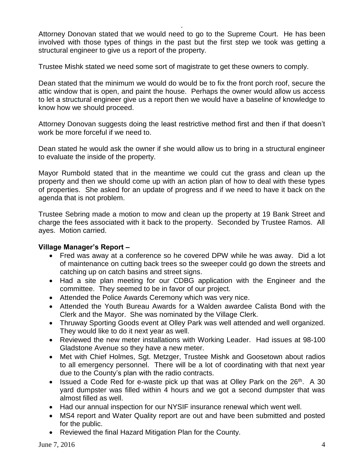Attorney Donovan stated that we would need to go to the Supreme Court. He has been involved with those types of things in the past but the first step we took was getting a structural engineer to give us a report of the property.

.

Trustee Mishk stated we need some sort of magistrate to get these owners to comply.

Dean stated that the minimum we would do would be to fix the front porch roof, secure the attic window that is open, and paint the house. Perhaps the owner would allow us access to let a structural engineer give us a report then we would have a baseline of knowledge to know how we should proceed.

Attorney Donovan suggests doing the least restrictive method first and then if that doesn't work be more forceful if we need to.

Dean stated he would ask the owner if she would allow us to bring in a structural engineer to evaluate the inside of the property.

Mayor Rumbold stated that in the meantime we could cut the grass and clean up the property and then we should come up with an action plan of how to deal with these types of properties. She asked for an update of progress and if we need to have it back on the agenda that is not problem.

Trustee Sebring made a motion to mow and clean up the property at 19 Bank Street and charge the fees associated with it back to the property. Seconded by Trustee Ramos. All ayes. Motion carried.

# **Village Manager's Report –**

- Fred was away at a conference so he covered DPW while he was away. Did a lot of maintenance on cutting back trees so the sweeper could go down the streets and catching up on catch basins and street signs.
- Had a site plan meeting for our CDBG application with the Engineer and the committee. They seemed to be in favor of our project.
- Attended the Police Awards Ceremony which was very nice.
- Attended the Youth Bureau Awards for a Walden awardee Calista Bond with the Clerk and the Mayor. She was nominated by the Village Clerk.
- Thruway Sporting Goods event at Olley Park was well attended and well organized. They would like to do it next year as well.
- Reviewed the new meter installations with Working Leader. Had issues at 98-100 Gladstone Avenue so they have a new meter.
- Met with Chief Holmes, Sgt. Metzger, Trustee Mishk and Goosetown about radios to all emergency personnel. There will be a lot of coordinating with that next year due to the County's plan with the radio contracts.
- Issued a Code Red for e-waste pick up that was at Olley Park on the  $26<sup>th</sup>$ . A 30 yard dumpster was filled within 4 hours and we got a second dumpster that was almost filled as well.
- Had our annual inspection for our NYSIF insurance renewal which went well.
- MS4 report and Water Quality report are out and have been submitted and posted for the public.
- Reviewed the final Hazard Mitigation Plan for the County.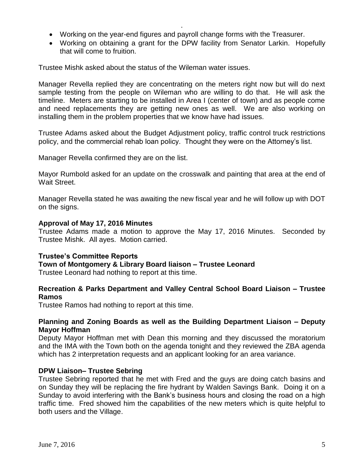Working on the year-end figures and payroll change forms with the Treasurer.

.

 Working on obtaining a grant for the DPW facility from Senator Larkin. Hopefully that will come to fruition.

Trustee Mishk asked about the status of the Wileman water issues.

Manager Revella replied they are concentrating on the meters right now but will do next sample testing from the people on Wileman who are willing to do that. He will ask the timeline. Meters are starting to be installed in Area I (center of town) and as people come and need replacements they are getting new ones as well. We are also working on installing them in the problem properties that we know have had issues.

Trustee Adams asked about the Budget Adjustment policy, traffic control truck restrictions policy, and the commercial rehab loan policy. Thought they were on the Attorney's list.

Manager Revella confirmed they are on the list.

Mayor Rumbold asked for an update on the crosswalk and painting that area at the end of Wait Street.

Manager Revella stated he was awaiting the new fiscal year and he will follow up with DOT on the signs.

## **Approval of May 17, 2016 Minutes**

Trustee Adams made a motion to approve the May 17, 2016 Minutes. Seconded by Trustee Mishk. All ayes. Motion carried.

# **Trustee's Committee Reports**

**Town of Montgomery & Library Board liaison – Trustee Leonard**

Trustee Leonard had nothing to report at this time.

## **Recreation & Parks Department and Valley Central School Board Liaison – Trustee Ramos**

Trustee Ramos had nothing to report at this time.

## **Planning and Zoning Boards as well as the Building Department Liaison – Deputy Mayor Hoffman**

Deputy Mayor Hoffman met with Dean this morning and they discussed the moratorium and the IMA with the Town both on the agenda tonight and they reviewed the ZBA agenda which has 2 interpretation requests and an applicant looking for an area variance.

#### **DPW Liaison– Trustee Sebring**

Trustee Sebring reported that he met with Fred and the guys are doing catch basins and on Sunday they will be replacing the fire hydrant by Walden Savings Bank. Doing it on a Sunday to avoid interfering with the Bank's business hours and closing the road on a high traffic time. Fred showed him the capabilities of the new meters which is quite helpful to both users and the Village.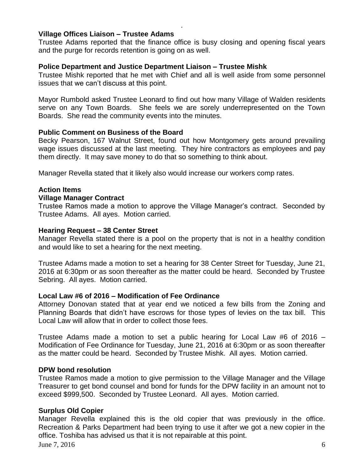### **Village Offices Liaison – Trustee Adams**

Trustee Adams reported that the finance office is busy closing and opening fiscal years and the purge for records retention is going on as well.

.

# **Police Department and Justice Department Liaison – Trustee Mishk**

Trustee Mishk reported that he met with Chief and all is well aside from some personnel issues that we can't discuss at this point.

Mayor Rumbold asked Trustee Leonard to find out how many Village of Walden residents serve on any Town Boards. She feels we are sorely underrepresented on the Town Boards. She read the community events into the minutes.

#### **Public Comment on Business of the Board**

Becky Pearson, 167 Walnut Street, found out how Montgomery gets around prevailing wage issues discussed at the last meeting. They hire contractors as employees and pay them directly. It may save money to do that so something to think about.

Manager Revella stated that it likely also would increase our workers comp rates.

## **Action Items**

#### **Village Manager Contract**

Trustee Ramos made a motion to approve the Village Manager's contract. Seconded by Trustee Adams. All ayes. Motion carried.

#### **Hearing Request – 38 Center Street**

Manager Revella stated there is a pool on the property that is not in a healthy condition and would like to set a hearing for the next meeting.

Trustee Adams made a motion to set a hearing for 38 Center Street for Tuesday, June 21, 2016 at 6:30pm or as soon thereafter as the matter could be heard. Seconded by Trustee Sebring. All ayes. Motion carried.

#### **Local Law #6 of 2016 – Modification of Fee Ordinance**

Attorney Donovan stated that at year end we noticed a few bills from the Zoning and Planning Boards that didn't have escrows for those types of levies on the tax bill. This Local Law will allow that in order to collect those fees.

Trustee Adams made a motion to set a public hearing for Local Law #6 of 2016 – Modification of Fee Ordinance for Tuesday, June 21, 2016 at 6:30pm or as soon thereafter as the matter could be heard. Seconded by Trustee Mishk. All ayes. Motion carried.

#### **DPW bond resolution**

Trustee Ramos made a motion to give permission to the Village Manager and the Village Treasurer to get bond counsel and bond for funds for the DPW facility in an amount not to exceed \$999,500. Seconded by Trustee Leonard. All ayes. Motion carried.

# **Surplus Old Copier**

Manager Revella explained this is the old copier that was previously in the office. Recreation & Parks Department had been trying to use it after we got a new copier in the office. Toshiba has advised us that it is not repairable at this point.

June 7, 2016 6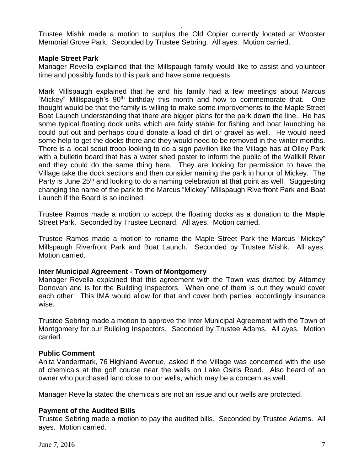Trustee Mishk made a motion to surplus the Old Copier currently located at Wooster Memorial Grove Park. Seconded by Trustee Sebring. All ayes. Motion carried.

.

# **Maple Street Park**

Manager Revella explained that the Millspaugh family would like to assist and volunteer time and possibly funds to this park and have some requests.

Mark Millspaugh explained that he and his family had a few meetings about Marcus "Mickey" Millspaugh's 90<sup>th</sup> birthday this month and how to commemorate that. One thought would be that the family is willing to make some improvements to the Maple Street Boat Launch understanding that there are bigger plans for the park down the line. He has some typical floating dock units which are fairly stable for fishing and boat launching he could put out and perhaps could donate a load of dirt or gravel as well. He would need some help to get the docks there and they would need to be removed in the winter months. There is a local scout troop looking to do a sign pavilion like the Village has at Olley Park with a bulletin board that has a water shed poster to inform the public of the Wallkill River and they could do the same thing here. They are looking for permission to have the Village take the dock sections and then consider naming the park in honor of Mickey. The Party is June 25<sup>th</sup> and looking to do a naming celebration at that point as well. Suggesting changing the name of the park to the Marcus "Mickey" Millspaugh Riverfront Park and Boat Launch if the Board is so inclined.

Trustee Ramos made a motion to accept the floating docks as a donation to the Maple Street Park. Seconded by Trustee Leonard. All ayes. Motion carried.

Trustee Ramos made a motion to rename the Maple Street Park the Marcus "Mickey" Millspaugh Riverfront Park and Boat Launch. Seconded by Trustee Mishk. All ayes. Motion carried.

#### **Inter Municipal Agreement - Town of Montgomery**

Manager Revella explained that this agreement with the Town was drafted by Attorney Donovan and is for the Building Inspectors. When one of them is out they would cover each other. This IMA would allow for that and cover both parties' accordingly insurance wise.

Trustee Sebring made a motion to approve the Inter Municipal Agreement with the Town of Montgomery for our Building Inspectors. Seconded by Trustee Adams. All ayes. Motion carried.

#### **Public Comment**

Anita Vandermark, 76 Highland Avenue, asked if the Village was concerned with the use of chemicals at the golf course near the wells on Lake Osiris Road. Also heard of an owner who purchased land close to our wells, which may be a concern as well.

Manager Revella stated the chemicals are not an issue and our wells are protected.

#### **Payment of the Audited Bills**

Trustee Sebring made a motion to pay the audited bills. Seconded by Trustee Adams. All ayes. Motion carried.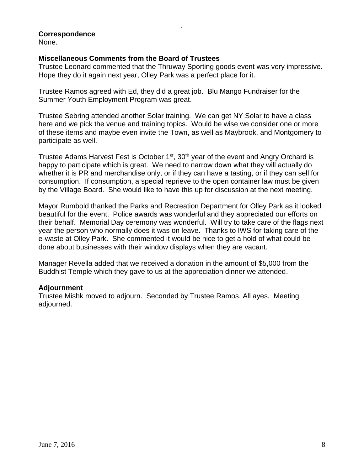# **Correspondence**

None.

# **Miscellaneous Comments from the Board of Trustees**

Trustee Leonard commented that the Thruway Sporting goods event was very impressive. Hope they do it again next year, Olley Park was a perfect place for it.

.

Trustee Ramos agreed with Ed, they did a great job. Blu Mango Fundraiser for the Summer Youth Employment Program was great.

Trustee Sebring attended another Solar training. We can get NY Solar to have a class here and we pick the venue and training topics. Would be wise we consider one or more of these items and maybe even invite the Town, as well as Maybrook, and Montgomery to participate as well.

Trustee Adams Harvest Fest is October 1<sup>st</sup>, 30<sup>th</sup> year of the event and Angry Orchard is happy to participate which is great. We need to narrow down what they will actually do whether it is PR and merchandise only, or if they can have a tasting, or if they can sell for consumption. If consumption, a special reprieve to the open container law must be given by the Village Board. She would like to have this up for discussion at the next meeting.

Mayor Rumbold thanked the Parks and Recreation Department for Olley Park as it looked beautiful for the event. Police awards was wonderful and they appreciated our efforts on their behalf. Memorial Day ceremony was wonderful. Will try to take care of the flags next year the person who normally does it was on leave. Thanks to IWS for taking care of the e-waste at Olley Park. She commented it would be nice to get a hold of what could be done about businesses with their window displays when they are vacant.

Manager Revella added that we received a donation in the amount of \$5,000 from the Buddhist Temple which they gave to us at the appreciation dinner we attended.

#### **Adjournment**

Trustee Mishk moved to adjourn. Seconded by Trustee Ramos. All ayes. Meeting adjourned.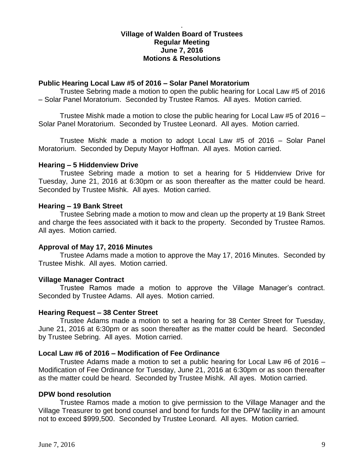# **Village of Walden Board of Trustees Regular Meeting June 7, 2016 Motions & Resolutions**

.

### **Public Hearing Local Law #5 of 2016 – Solar Panel Moratorium**

Trustee Sebring made a motion to open the public hearing for Local Law #5 of 2016 – Solar Panel Moratorium. Seconded by Trustee Ramos. All ayes. Motion carried.

Trustee Mishk made a motion to close the public hearing for Local Law #5 of 2016 – Solar Panel Moratorium. Seconded by Trustee Leonard. All ayes. Motion carried.

Trustee Mishk made a motion to adopt Local Law #5 of 2016 – Solar Panel Moratorium. Seconded by Deputy Mayor Hoffman. All ayes. Motion carried.

## **Hearing – 5 Hiddenview Drive**

Trustee Sebring made a motion to set a hearing for 5 Hiddenview Drive for Tuesday, June 21, 2016 at 6:30pm or as soon thereafter as the matter could be heard. Seconded by Trustee Mishk. All ayes. Motion carried.

## **Hearing – 19 Bank Street**

Trustee Sebring made a motion to mow and clean up the property at 19 Bank Street and charge the fees associated with it back to the property. Seconded by Trustee Ramos. All ayes. Motion carried.

# **Approval of May 17, 2016 Minutes**

Trustee Adams made a motion to approve the May 17, 2016 Minutes. Seconded by Trustee Mishk. All ayes. Motion carried.

# **Village Manager Contract**

Trustee Ramos made a motion to approve the Village Manager's contract. Seconded by Trustee Adams. All ayes. Motion carried.

#### **Hearing Request – 38 Center Street**

Trustee Adams made a motion to set a hearing for 38 Center Street for Tuesday, June 21, 2016 at 6:30pm or as soon thereafter as the matter could be heard. Seconded by Trustee Sebring. All ayes. Motion carried.

#### **Local Law #6 of 2016 – Modification of Fee Ordinance**

Trustee Adams made a motion to set a public hearing for Local Law #6 of 2016 – Modification of Fee Ordinance for Tuesday, June 21, 2016 at 6:30pm or as soon thereafter as the matter could be heard. Seconded by Trustee Mishk. All ayes. Motion carried.

# **DPW bond resolution**

Trustee Ramos made a motion to give permission to the Village Manager and the Village Treasurer to get bond counsel and bond for funds for the DPW facility in an amount not to exceed \$999,500. Seconded by Trustee Leonard. All ayes. Motion carried.